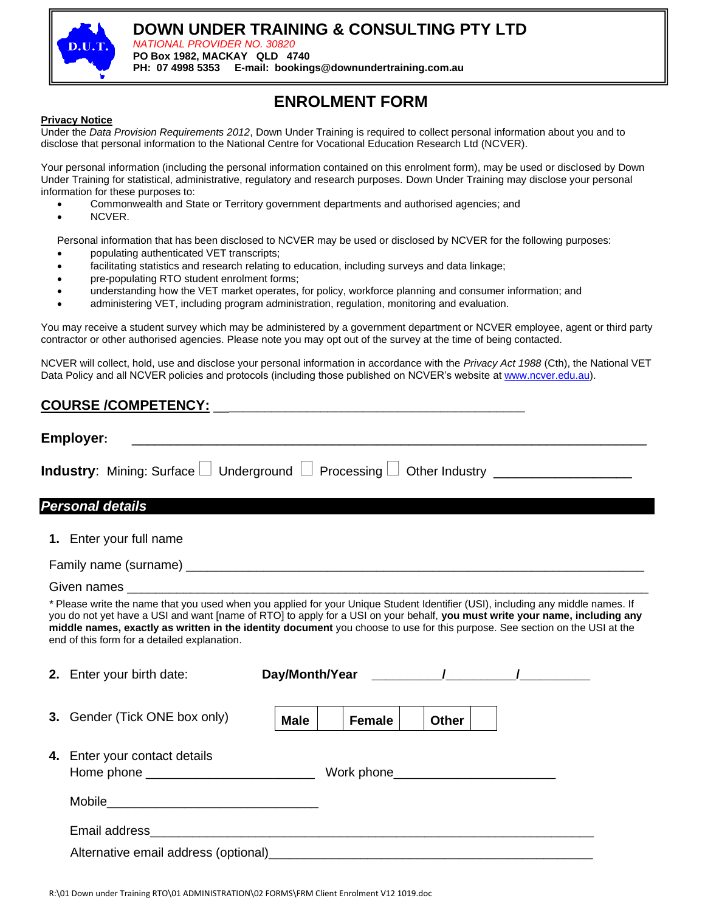

# **DOWN UNDER TRAINING & CONSULTING PTY LTD**

*NATIONAL PROVIDER NO. 30820* **PO Box 1982, MACKAY QLD 4740 PH: 07 4998 5353 E-mail: bookings@downundertraining.com.au**

# **ENROLMENT FORM**

#### **Privacy Notice**

Under the *Data Provision Requirements 2012*, Down Under Training is required to collect personal information about you and to disclose that personal information to the National Centre for Vocational Education Research Ltd (NCVER).

Your personal information (including the personal information contained on this enrolment form), may be used or disclosed by Down Under Training for statistical, administrative, regulatory and research purposes. Down Under Training may disclose your personal information for these purposes to:

- Commonwealth and State or Territory government departments and authorised agencies; and
- NCVER.

Personal information that has been disclosed to NCVER may be used or disclosed by NCVER for the following purposes:

- populating authenticated VET transcripts;
- facilitating statistics and research relating to education, including surveys and data linkage;
- pre-populating RTO student enrolment forms;
- understanding how the VET market operates, for policy, workforce planning and consumer information; and
- administering VET, including program administration, regulation, monitoring and evaluation.

You may receive a student survey which may be administered by a government department or NCVER employee, agent or third party contractor or other authorised agencies. Please note you may opt out of the survey at the time of being contacted.

NCVER will collect, hold, use and disclose your personal information in accordance with the *Privacy Act 1988* (Cth), the National VET Data Policy and all NCVER policies and protocols (including those published on NCVER's website at [www.ncver.edu.au\)](https://www.ncver.edu.au/).

# COURSE /COMPETENCY:

| Employer:                                                                                                                                                                                                                                                                                                                                                                                                                                     |             |               |       |  |  |  |  |
|-----------------------------------------------------------------------------------------------------------------------------------------------------------------------------------------------------------------------------------------------------------------------------------------------------------------------------------------------------------------------------------------------------------------------------------------------|-------------|---------------|-------|--|--|--|--|
| <b>Industry</b> : Mining: Surface $\Box$ Underground $\Box$ Processing $\Box$ Other Industry $\Box$                                                                                                                                                                                                                                                                                                                                           |             |               |       |  |  |  |  |
| Personal details                                                                                                                                                                                                                                                                                                                                                                                                                              |             |               |       |  |  |  |  |
| 1. Enter your full name                                                                                                                                                                                                                                                                                                                                                                                                                       |             |               |       |  |  |  |  |
|                                                                                                                                                                                                                                                                                                                                                                                                                                               |             |               |       |  |  |  |  |
|                                                                                                                                                                                                                                                                                                                                                                                                                                               |             |               |       |  |  |  |  |
| * Please write the name that you used when you applied for your Unique Student Identifier (USI), including any middle names. If<br>you do not yet have a USI and want [name of RTO] to apply for a USI on your behalf, you must write your name, including any<br>middle names, exactly as written in the identity document you choose to use for this purpose. See section on the USI at the<br>end of this form for a detailed explanation. |             |               |       |  |  |  |  |
| 2. Enter your birth date:                                                                                                                                                                                                                                                                                                                                                                                                                     |             |               |       |  |  |  |  |
| 3. Gender (Tick ONE box only)                                                                                                                                                                                                                                                                                                                                                                                                                 | <b>Male</b> | <b>Female</b> | Other |  |  |  |  |
| 4. Enter your contact details                                                                                                                                                                                                                                                                                                                                                                                                                 |             |               |       |  |  |  |  |
|                                                                                                                                                                                                                                                                                                                                                                                                                                               |             |               |       |  |  |  |  |
|                                                                                                                                                                                                                                                                                                                                                                                                                                               |             |               |       |  |  |  |  |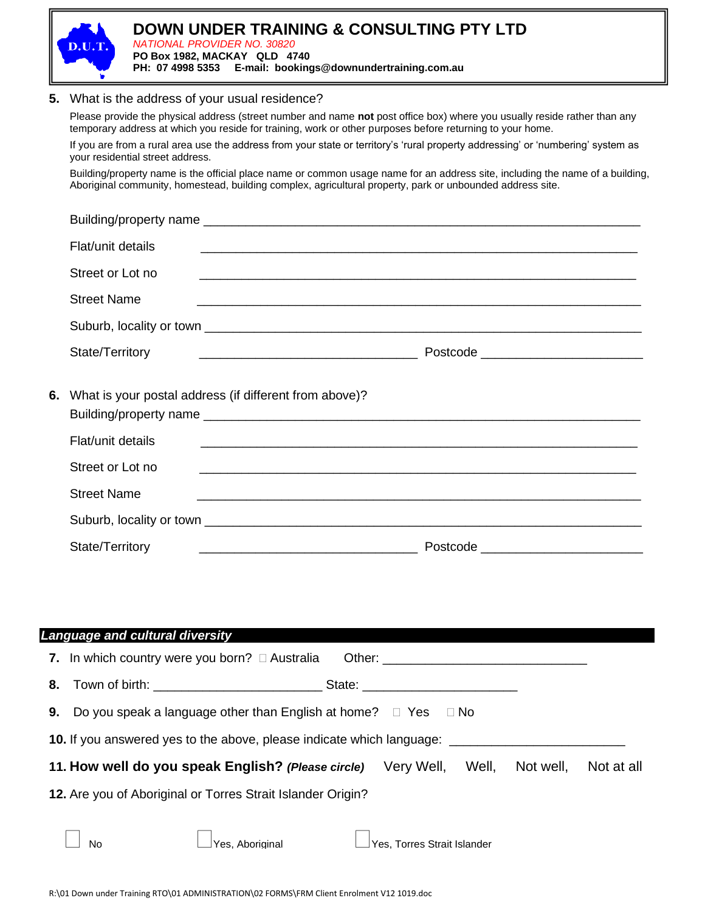

| <b>Language and cultural diversity</b>                                                                    |  |  |  |  |  |  |
|-----------------------------------------------------------------------------------------------------------|--|--|--|--|--|--|
| 7. In which country were you born? $\Box$ Australia                                                       |  |  |  |  |  |  |
|                                                                                                           |  |  |  |  |  |  |
| <b>9.</b> Do you speak a language other than English at home? $\Box$ Yes $\Box$ No                        |  |  |  |  |  |  |
| <b>10.</b> If you answered yes to the above, please indicate which language: ____________________________ |  |  |  |  |  |  |
| 11. How well do you speak English? (Please circle) Very Well, Well,<br>Not well,<br>Not at all            |  |  |  |  |  |  |
| 12. Are you of Aboriginal or Torres Strait Islander Origin?                                               |  |  |  |  |  |  |
| $\vert$ Yes. Aboriginal<br>$\rfloor$ Yes, Torres Strait Islander<br><b>No</b>                             |  |  |  |  |  |  |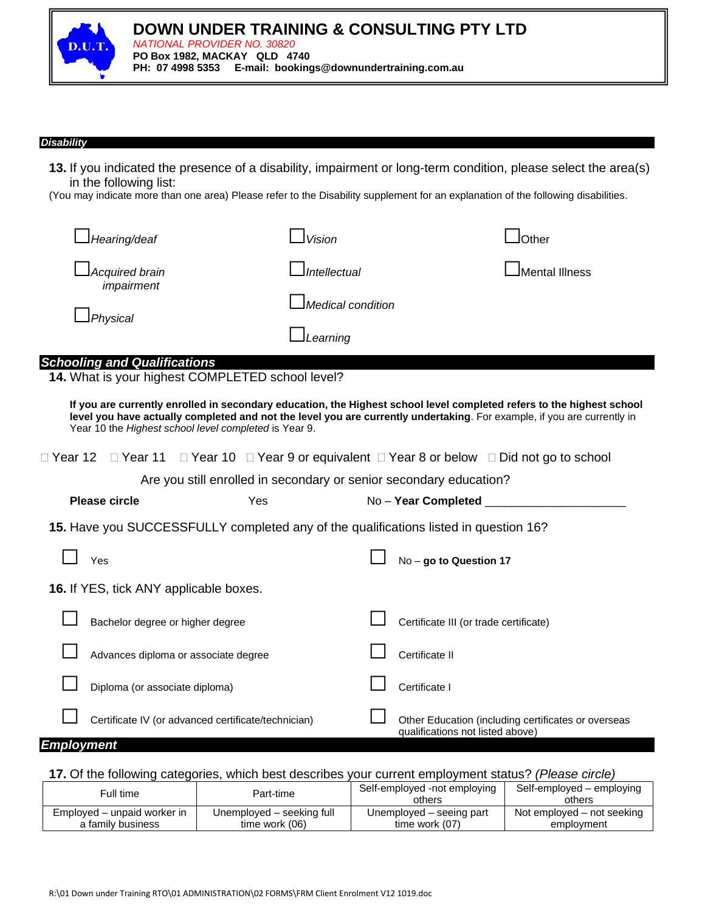

*NATIONAL PROVIDER NO. 30820* **PO Box 1982, MACKAY QLD 4740 PH: 07 4998 5353 E-mail: bookings@downundertraining.com.au**

#### *Disability*

**13.** If you indicated the presence of a disability, impairment or long-term condition, please select the area(s) in the following list:

(You may indicate more than one area) Please refer to the Disability supplement for an explanation of the following disabilities.

| JHearing/deaf                 | l Vision                          | $\mathsf{\mathsf{JOther}}$ |
|-------------------------------|-----------------------------------|----------------------------|
| Acquired brain_<br>impairment | <b>J</b> Intellectual             | Mental Illness             |
| 」Physical                     | $\Delta$ <i>Medical condition</i> |                            |
|                               | ⊥Learning                         |                            |
|                               |                                   |                            |

### *Schooling and Qualifications*

**14.** What is your highest COMPLETED school level?

**If you are currently enrolled in secondary education, the Highest school level completed refers to the highest school level you have actually completed and not the level you are currently undertaking**. For example, if you are currently in Year 10 the *Highest school level completed* is Year 9.

Year 12 Year 11 Year 10 Year 9 or equivalent Year 8 or below Did not go to school

Are you still enrolled in secondary or senior secondary education?

|  |  | 15. Have you SUCCESSFULLY completed any of the qualifications listed in question 16? |  |
|--|--|--------------------------------------------------------------------------------------|--|
|  |  |                                                                                      |  |

**Please circle** The Most Completed The Yes No – Year Completed

| Yes                                                 | No - go to Question 17                                                                  |
|-----------------------------------------------------|-----------------------------------------------------------------------------------------|
| <b>16.</b> If YES, tick ANY applicable boxes.       |                                                                                         |
| Bachelor degree or higher degree                    | Certificate III (or trade certificate)                                                  |
| Advances diploma or associate degree                | Certificate II                                                                          |
| Diploma (or associate diploma)                      | Certificate I                                                                           |
| Certificate IV (or advanced certificate/technician) | Other Education (including certificates or overseas<br>qualifications not listed above) |
| <b>Employment</b>                                   |                                                                                         |

### **17.** Of the following categories, which best describes your current employment status? *(Please circle)*

| Full time                   | Part-time                 | Self-employed -not employing<br>others | Self-employed – employing<br>others |
|-----------------------------|---------------------------|----------------------------------------|-------------------------------------|
| Employed – unpaid worker in | Unemployed – seeking full | Unemployed – seeing part               | Not employed – not seeking          |
| a family business           | time work (06)            | time work (07)                         | employment                          |